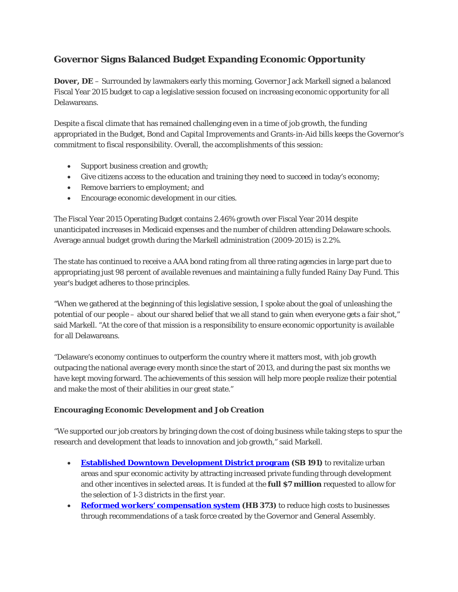# **Governor Signs Balanced Budget Expanding Economic Opportunity**

**Dover, DE** – Surrounded by lawmakers early this morning, Governor Jack Markell signed a balanced Fiscal Year 2015 budget to cap a legislative session focused on increasing economic opportunity for all Delawareans.

Despite a fiscal climate that has remained challenging even in a time of job growth, the funding appropriated in the Budget, Bond and Capital Improvements and Grants-in-Aid bills keeps the Governor's commitment to fiscal responsibility. Overall, the accomplishments of this session:

- Support business creation and growth;
- Give citizens access to the education and training they need to succeed in today's economy;
- Remove barriers to employment; and
- Encourage economic development in our cities.

The Fiscal Year 2015 Operating Budget contains 2.46% growth over Fiscal Year 2014 despite unanticipated increases in Medicaid expenses and the number of children attending Delaware schools. Average annual budget growth during the Markell administration (2009-2015) is 2.2%.

The state has continued to receive a AAA bond rating from all three rating agencies in large part due to appropriating just 98 percent of available revenues and maintaining a fully funded Rainy Day Fund. This year's budget adheres to those principles.

"When we gathered at the beginning of this legislative session, I spoke about the goal of unleashing the potential of our people – about our shared belief that we all stand to gain when everyone gets a fair shot," said Markell. "At the core of that mission is a responsibility to ensure economic opportunity is available for all Delawareans.

"Delaware's economy continues to outperform the country where it matters most, with job growth outpacing the national average every month since the start of 2013, and during the past six months we have kept moving forward. The achievements of this session will help more people realize their potential and make the most of their abilities in our great state."

## **Encouraging Economic Development and Job Creation**

"We supported our job creators by bringing down the cost of doing business while taking steps to spur the research and development that leads to innovation and job growth," said Markell.

- **[Established Downtown Development District program](http://news.delaware.gov/2014/06/05/governor-markell-signs-bill-to-revitalize-urban-areas-spur-economic-development/) (SB 191)** to revitalize urban areas and spur economic activity by attracting increased private funding through development and other incentives in selected areas. It is funded at the **full \$7 million** requested to allow for the selection of 1-3 districts in the first year.
- **[Reformed workers' compensation system](http://news.delaware.gov/2014/06/25/workers-compensation-recommendations-pass-general-assembly/) (HB 373)** to reduce high costs to businesses through recommendations of a task force created by the Governor and General Assembly.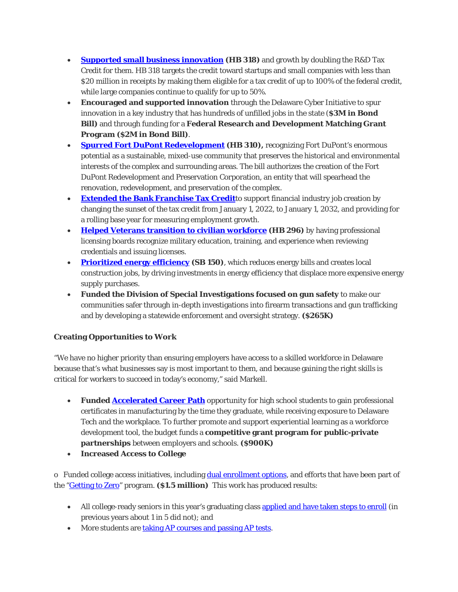- **[Supported small business innovation](http://news.delaware.gov/2014/05/07/17218/) (HB 318)** and growth by doubling the R&D Tax Credit for them. HB 318 targets the credit toward startups and small companies with less than \$20 million in receipts by making them eligible for a tax credit of up to 100% of the federal credit, while large companies continue to qualify for up to 50%.
- **Encouraged and supported innovation** through the Delaware Cyber Initiative to spur innovation in a key industry that has hundreds of unfilled jobs in the state (**\$3M in Bond Bill)** and through funding for a **Federal Research and Development Matching Grant Program (\$2M in Bond Bill)**.
- **[Spurred Fort DuPont Redevelopment](http://legis.delaware.gov/LIS/LIS147.nsf/vwLegislation/HB+310?Opendocument) (HB 310),** recognizing Fort DuPont's enormous potential as a sustainable, mixed-use community that preserves the historical and environmental interests of the complex and surrounding areas. The bill authorizes the creation of the Fort DuPont Redevelopment and Preservation Corporation, an entity that will spearhead the renovation, redevelopment, and preservation of the complex.
- **[Extended the Bank Franchise Tax Credit](http://www.legis.delaware.gov/LIS/LIS147.NSF/vwLegislation/HB+414?Opendocument)**to support financial industry job creation by changing the sunset of the tax credit from January 1, 2022, to January 1, 2032, and providing for a rolling base year for measuring employment growth.
- **[Helped Veterans transition to civilian workforce](http://news.delaware.gov/2014/04/10/governor-markell-legislators-announce-legislation-to-assist-transitioning-veterans/) (HB 296)** by having professional licensing boards recognize military education, training, and experience when reviewing credentials and issuing licenses.
- **[Prioritized energy efficiency](http://www.legis.delaware.gov/LIS/LIS147.NSF/vwLegislation/SB+150?Opendocument) (SB 150)**, which reduces energy bills and creates local construction jobs, by driving investments in energy efficiency that displace more expensive energy supply purchases.
- **Funded the Division of Special Investigations focused on gun safety** to make our communities safer through in-depth investigations into firearm transactions and gun trafficking and by developing a statewide enforcement and oversight strategy. **(\$265K)**

## **Creating Opportunities to Work**

"We have no higher priority than ensuring employers have access to a skilled workforce in Delaware because that's what businesses say is most important to them, and because gaining the right skills is critical for workers to succeed in today's economy," said Markell.

- **Funded [Accelerated Career Path](http://news.delaware.gov/2014/04/08/governor-markell-proposes-new-program-to-boost-manufacturing-workforce/)** opportunity for high school students to gain professional certificates in manufacturing by the time they graduate, while receiving exposure to Delaware Tech and the workplace. To further promote and support experiential learning as a workforce development tool, the budget funds a **competitive grant program for public-private partnerships** between employers and schools. **(\$900K)**
- **Increased Access to College**

o Funded college access initiatives, including [dual enrollment options,](http://www.doe.k12.de.us/news/2014/0305.shtml) and efforts that have been part of the ["Getting to Zero"](http://www.delawaregoestocollege.org/getting-zero) program. **(\$1.5 million)** This work has produced results:

- All college-ready seniors in this year's graduating class [applied and have taken steps to enroll](http://www.google.com/url?sa=t&rct=j&q=&esrc=s&source=web&cd=3&cad=rja&uact=8&ved=0CC4QFjAC&url=http%3A%2F%2Fwww.nytimes.com%2F2014%2F06%2F10%2Fupshot%2Fa-case-study-in-lifting-college-attendance.html&ei=It2xU72OH8rnsAS5h4GACQ&usg=AFQjCNF4Q_fFmyzv5dg-iDt6hXLY7YR3bA&sig2=UEbEh4R-3Krp37P1K-5olA&bvm=bv.69837884,d.cWc) (in previous years about 1 in 5 did not); and
- More students are [taking AP courses and passing AP tests.](http://www.delawareonline.com/story/news/education/2014/02/19/more-del-students-tackling-advanced-placement-courses/5623465/)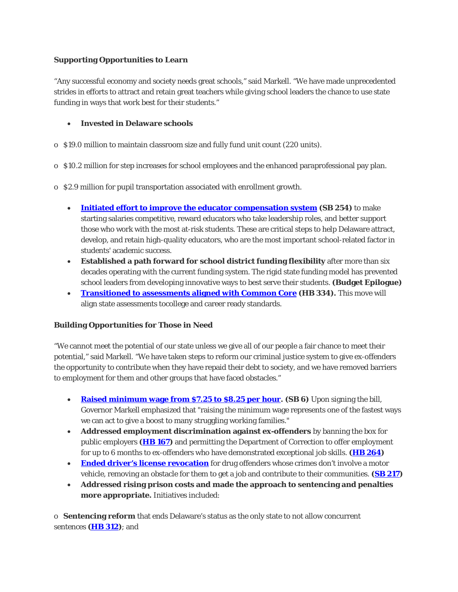### **Supporting Opportunities to Learn**

"Any successful economy and society needs great schools," said Markell. "We have made unprecedented strides in efforts to attract and retain great teachers while giving school leaders the chance to use state funding in ways that work best for their students."

### • **Invested in Delaware schools**

- o \$19.0 million to maintain classroom size and fully fund unit count (220 units).
- o \$10.2 million for step increases for school employees and the enhanced paraprofessional pay plan.
- o \$2.9 million for pupil transportation associated with enrollment growth.
	- **[Initiated effort to improve the educator compensation system](http://legis.delaware.gov/LIS/lis147.nsf/vwLegislation/SB+254?Opendocument) (SB 254)** to make starting salaries competitive, reward educators who take leadership roles, and better support those who work with the most at-risk students. These are critical steps to help Delaware attract, develop, and retain high-quality educators, who are the most important school-related factor in students' academic success.
	- **Established a path forward for school district funding flexibility** after more than six decades operating with the current funding system. The rigid state funding model has prevented school leaders from developing innovative ways to best serve their students. **(Budget Epilogue)**
	- **[Transitioned to assessments aligned with Common Core](http://legis.delaware.gov/LIS/lis147.nsf/vwLegislation/HB+334?Opendocument) (HB 334).** This move will align state assessments tocollege and career ready standards.

## **Building Opportunities for Those in Need**

"We cannot meet the potential of our state unless we give all of our people a fair chance to meet their potential," said Markell. "We have taken steps to reform our criminal justice system to give ex-offenders the opportunity to contribute when they have repaid their debt to society, and we have removed barriers to employment for them and other groups that have faced obstacles."

- **[Raised minimum wage from \\$7.25 to \\$8.25 per hour.](http://news.delaware.gov/2014/01/30/governor-signs-legislation-to-raise-minimum-wage/) (SB 6)** Upon signing the bill, Governor Markell emphasized that "raising the minimum wage represents one of the fastest ways we can act to give a boost to many struggling working families."
- **Addressed employment discrimination against ex-offenders** by banning the box for public employers **[\(HB 167\)](http://news.delaware.gov/2014/05/08/governor-bans-the-box-for-delaware-public-employees/)** and permitting the Department of Correction to offer employment for up to 6 months to ex-offenders who have demonstrated exceptional job skills. **[\(HB 264\)](http://news.delaware.gov/2014/06/26/final-piece-of-governors-criminal-justice-reform-package-passes-general-assembly/)**
- **[Ended driver's license revocation](http://news.delaware.gov/2014/06/26/final-piece-of-governors-criminal-justice-reform-package-passes-general-assembly/)** for drug offenders whose crimes don't involve a motor vehicle, removing an obstacle for them to get a job and contribute to their communities. **[\(SB 217\)](http://news.delaware.gov/2014/06/26/final-piece-of-governors-criminal-justice-reform-package-passes-general-assembly/)**
- **Addressed rising prison costs and made the approach to sentencing and penalties more appropriate.** Initiatives included:

o **Sentencing reform** that ends Delaware's status as the only state to not allow concurrent sentences **[\(HB 312\)](http://news.delaware.gov/2014/06/18/sentencing-reform-legislation-passes-general-assembly/)**; and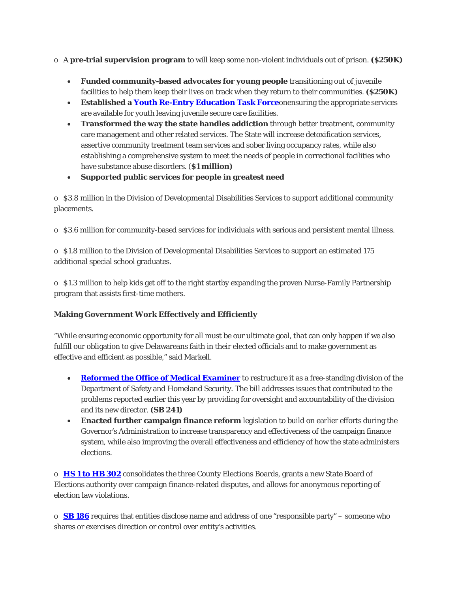- o A **pre-trial supervision program** to will keep some non-violent individuals out of prison. **(\$250K)**
	- **Funded community-based advocates for young people** transitioning out of juvenile facilities to help them keep their lives on track when they return to their communities. **(\$250K)**
	- **Established a [Youth Re-Entry Education Task Force](http://news.delaware.gov/2014/05/05/governor-markell-establishes-youth-re-entry-education-task-force/)**onensuring the appropriate services are available for youth leaving juvenile secure care facilities.
	- **Transformed the way the state handles addiction** through better treatment, community care management and other related services. The State will increase detoxification services, assertive community treatment team services and sober living occupancy rates, while also establishing a comprehensive system to meet the needs of people in correctional facilities who have substance abuse disorders. (**\$1 million)**
	- **Supported public services for people in greatest need**

o \$3.8 million in the Division of Developmental Disabilities Services to support additional community placements.

o \$3.6 million for community-based services for individuals with serious and persistent mental illness.

o \$1.8 million to the Division of Developmental Disabilities Services to support an estimated 175 additional special school graduates.

o \$1.3 million to help kids get off to the right startby expanding the proven Nurse-Family Partnership program that assists first-time mothers.

## **Making Government Work Effectively and Efficiently**

"While ensuring economic opportunity for all must be our ultimate goal, that can only happen if we also fulfill our obligation to give Delawareans faith in their elected officials and to make government as effective and efficient as possible," said Markell.

- **[Reformed the Office of Medical Examiner](http://news.delaware.gov/2014/06/24/governor-signs-legislation-creating-a-division-of-forensic-science/)** to restructure it as a free-standing division of the Department of Safety and Homeland Security. The bill addresses issues that contributed to the problems reported earlier this year by providing for oversight and accountability of the division and its new director. **(SB 241)**
- **Enacted further campaign finance reform** legislation to build on earlier efforts during the Governor's Administration to increase transparency and effectiveness of the campaign finance system, while also improving the overall effectiveness and efficiency of how the state administers elections.

o **[HS 1 to HB 302](http://news.delaware.gov/2014/06/24/legislation-to-reform-delaware-election-laws-passes-general-assembly/)** consolidates the three County Elections Boards, grants a new State Board of Elections authority over campaign finance-related disputes, and allows for anonymous reporting of election law violations.

o **[SB 186](http://news.delaware.gov/2014/06/26/campaign-finance-transparency-law-passes-general-assembly/)** requires that entities disclose name and address of one "responsible party" – someone who shares or exercises direction or control over entity's activities.